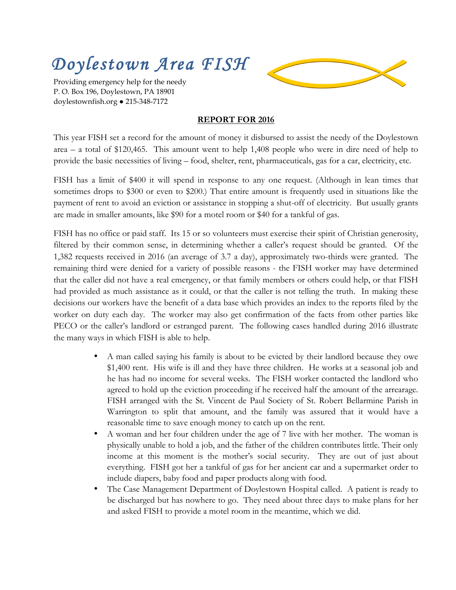## *Doylestown Area FISH*

Providing emergency help for the needy P. O. Box 196, Doylestown, PA 18901 doylestownfish.org ● 215-348-7172



## **REPORT FOR 2016**

This year FISH set a record for the amount of money it disbursed to assist the needy of the Doylestown area – a total of \$120,465. This amount went to help 1,408 people who were in dire need of help to provide the basic necessities of living – food, shelter, rent, pharmaceuticals, gas for a car, electricity, etc.

FISH has a limit of \$400 it will spend in response to any one request. (Although in lean times that sometimes drops to \$300 or even to \$200.) That entire amount is frequently used in situations like the payment of rent to avoid an eviction or assistance in stopping a shut-off of electricity. But usually grants are made in smaller amounts, like \$90 for a motel room or \$40 for a tankful of gas.

FISH has no office or paid staff. Its 15 or so volunteers must exercise their spirit of Christian generosity, filtered by their common sense, in determining whether a caller's request should be granted. Of the 1,382 requests received in 2016 (an average of 3.7 a day), approximately two-thirds were granted. The remaining third were denied for a variety of possible reasons - the FISH worker may have determined that the caller did not have a real emergency, or that family members or others could help, or that FISH had provided as much assistance as it could, or that the caller is not telling the truth. In making these decisions our workers have the benefit of a data base which provides an index to the reports filed by the worker on duty each day. The worker may also get confirmation of the facts from other parties like PECO or the caller's landlord or estranged parent. The following cases handled during 2016 illustrate the many ways in which FISH is able to help.

- A man called saying his family is about to be evicted by their landlord because they owe \$1,400 rent. His wife is ill and they have three children. He works at a seasonal job and he has had no income for several weeks. The FISH worker contacted the landlord who agreed to hold up the eviction proceeding if he received half the amount of the arrearage. FISH arranged with the St. Vincent de Paul Society of St. Robert Bellarmine Parish in Warrington to split that amount, and the family was assured that it would have a reasonable time to save enough money to catch up on the rent.
- A woman and her four children under the age of 7 live with her mother. The woman is physically unable to hold a job, and the father of the children contributes little. Their only income at this moment is the mother's social security. They are out of just about everything. FISH got her a tankful of gas for her ancient car and a supermarket order to include diapers, baby food and paper products along with food.
- The Case Management Department of Doylestown Hospital called. A patient is ready to be discharged but has nowhere to go. They need about three days to make plans for her and asked FISH to provide a motel room in the meantime, which we did.